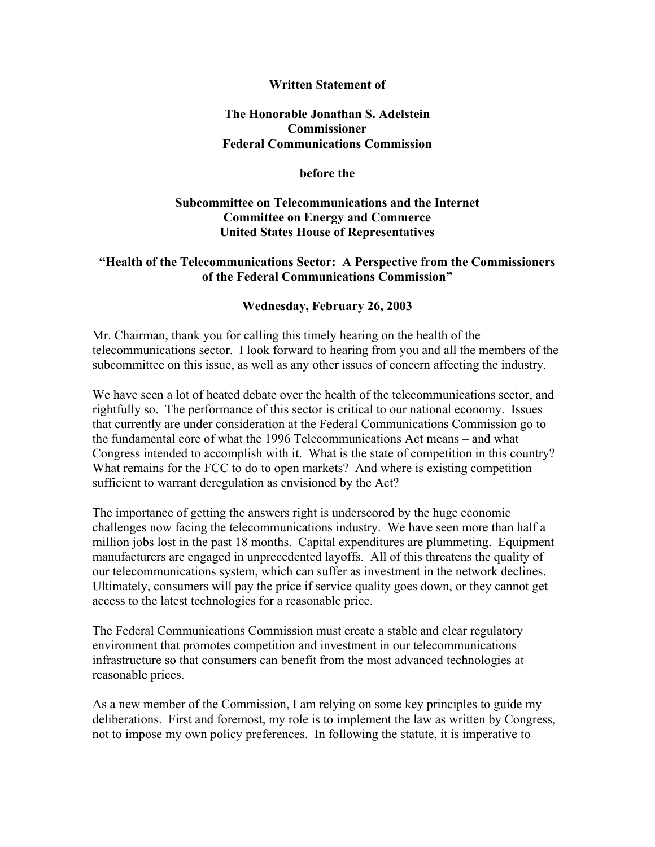## **Written Statement of**

## **The Honorable Jonathan S. Adelstein Commissioner Federal Communications Commission**

#### **before the**

# **Subcommittee on Telecommunications and the Internet Committee on Energy and Commerce United States House of Representatives**

# **"Health of the Telecommunications Sector: A Perspective from the Commissioners of the Federal Communications Commission"**

## **Wednesday, February 26, 2003**

Mr. Chairman, thank you for calling this timely hearing on the health of the telecommunications sector. I look forward to hearing from you and all the members of the subcommittee on this issue, as well as any other issues of concern affecting the industry.

We have seen a lot of heated debate over the health of the telecommunications sector, and rightfully so. The performance of this sector is critical to our national economy. Issues that currently are under consideration at the Federal Communications Commission go to the fundamental core of what the 1996 Telecommunications Act means – and what Congress intended to accomplish with it. What is the state of competition in this country? What remains for the FCC to do to open markets? And where is existing competition sufficient to warrant deregulation as envisioned by the Act?

The importance of getting the answers right is underscored by the huge economic challenges now facing the telecommunications industry. We have seen more than half a million jobs lost in the past 18 months. Capital expenditures are plummeting. Equipment manufacturers are engaged in unprecedented layoffs. All of this threatens the quality of our telecommunications system, which can suffer as investment in the network declines. Ultimately, consumers will pay the price if service quality goes down, or they cannot get access to the latest technologies for a reasonable price.

The Federal Communications Commission must create a stable and clear regulatory environment that promotes competition and investment in our telecommunications infrastructure so that consumers can benefit from the most advanced technologies at reasonable prices.

As a new member of the Commission, I am relying on some key principles to guide my deliberations. First and foremost, my role is to implement the law as written by Congress, not to impose my own policy preferences. In following the statute, it is imperative to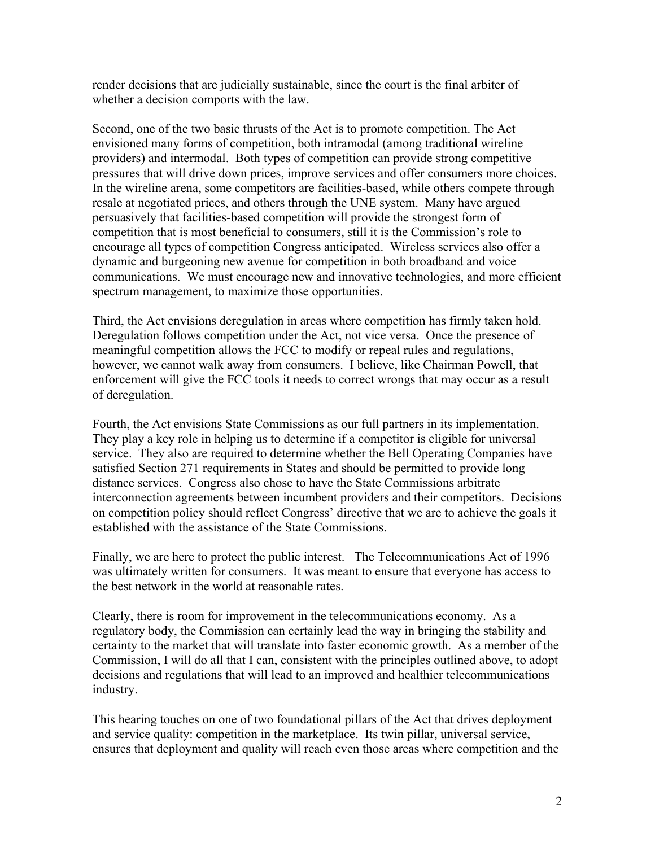render decisions that are judicially sustainable, since the court is the final arbiter of whether a decision comports with the law.

Second, one of the two basic thrusts of the Act is to promote competition. The Act envisioned many forms of competition, both intramodal (among traditional wireline providers) and intermodal. Both types of competition can provide strong competitive pressures that will drive down prices, improve services and offer consumers more choices. In the wireline arena, some competitors are facilities-based, while others compete through resale at negotiated prices, and others through the UNE system. Many have argued persuasively that facilities-based competition will provide the strongest form of competition that is most beneficial to consumers, still it is the Commission's role to encourage all types of competition Congress anticipated. Wireless services also offer a dynamic and burgeoning new avenue for competition in both broadband and voice communications. We must encourage new and innovative technologies, and more efficient spectrum management, to maximize those opportunities.

Third, the Act envisions deregulation in areas where competition has firmly taken hold. Deregulation follows competition under the Act, not vice versa. Once the presence of meaningful competition allows the FCC to modify or repeal rules and regulations, however, we cannot walk away from consumers. I believe, like Chairman Powell, that enforcement will give the FCC tools it needs to correct wrongs that may occur as a result of deregulation.

Fourth, the Act envisions State Commissions as our full partners in its implementation. They play a key role in helping us to determine if a competitor is eligible for universal service. They also are required to determine whether the Bell Operating Companies have satisfied Section 271 requirements in States and should be permitted to provide long distance services. Congress also chose to have the State Commissions arbitrate interconnection agreements between incumbent providers and their competitors. Decisions on competition policy should reflect Congress' directive that we are to achieve the goals it established with the assistance of the State Commissions.

Finally, we are here to protect the public interest. The Telecommunications Act of 1996 was ultimately written for consumers. It was meant to ensure that everyone has access to the best network in the world at reasonable rates.

Clearly, there is room for improvement in the telecommunications economy. As a regulatory body, the Commission can certainly lead the way in bringing the stability and certainty to the market that will translate into faster economic growth. As a member of the Commission, I will do all that I can, consistent with the principles outlined above, to adopt decisions and regulations that will lead to an improved and healthier telecommunications industry.

This hearing touches on one of two foundational pillars of the Act that drives deployment and service quality: competition in the marketplace. Its twin pillar, universal service, ensures that deployment and quality will reach even those areas where competition and the